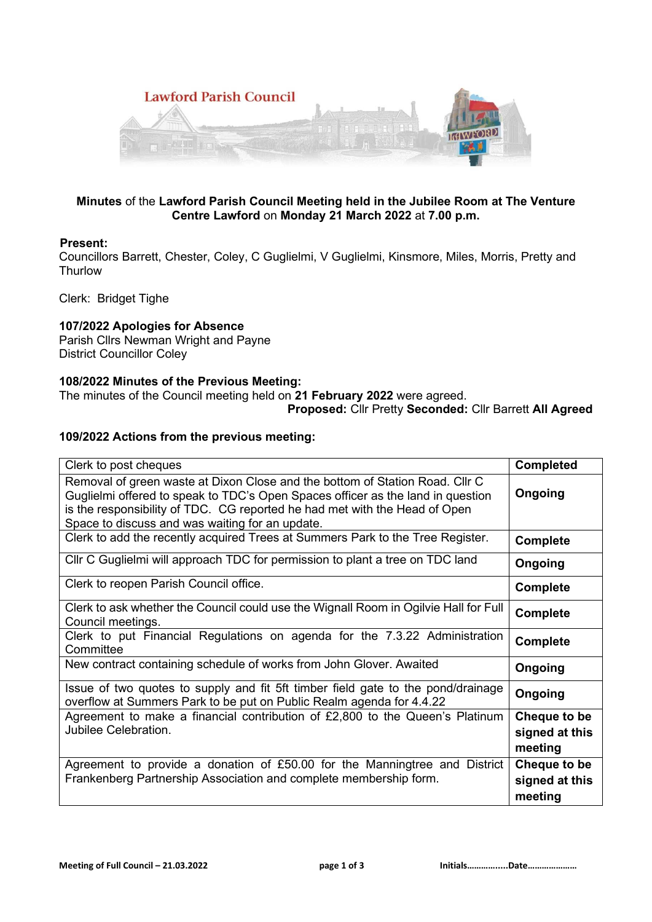

## **Minutes** of the **Lawford Parish Council Meeting held in the Jubilee Room at The Venture Centre Lawford** on **Monday 21 March 2022** at **7.00 p.m.**

## **Present:**

Councillors Barrett, Chester, Coley, C Guglielmi, V Guglielmi, Kinsmore, Miles, Morris, Pretty and **Thurlow** 

Clerk: Bridget Tighe

# **107/2022 Apologies for Absence**

Parish Cllrs Newman Wright and Payne District Councillor Coley

## **108/2022 Minutes of the Previous Meeting:**

The minutes of the Council meeting held on **21 February 2022** were agreed.

#### **Proposed:** Cllr Pretty **Seconded:** Cllr Barrett **All Agreed**

## **109/2022 Actions from the previous meeting:**

| Clerk to post cheques                                                                                                                                                                                                                                                                            | <b>Completed</b>                          |
|--------------------------------------------------------------------------------------------------------------------------------------------------------------------------------------------------------------------------------------------------------------------------------------------------|-------------------------------------------|
| Removal of green waste at Dixon Close and the bottom of Station Road. Cllr C<br>Guglielmi offered to speak to TDC's Open Spaces officer as the land in question<br>is the responsibility of TDC. CG reported he had met with the Head of Open<br>Space to discuss and was waiting for an update. | Ongoing                                   |
| Clerk to add the recently acquired Trees at Summers Park to the Tree Register.                                                                                                                                                                                                                   | <b>Complete</b>                           |
| Cllr C Guglielmi will approach TDC for permission to plant a tree on TDC land                                                                                                                                                                                                                    | <b>Ongoing</b>                            |
| Clerk to reopen Parish Council office.                                                                                                                                                                                                                                                           | <b>Complete</b>                           |
| Clerk to ask whether the Council could use the Wignall Room in Ogilvie Hall for Full<br>Council meetings.                                                                                                                                                                                        | <b>Complete</b>                           |
| Clerk to put Financial Regulations on agenda for the 7.3.22 Administration<br>Committee                                                                                                                                                                                                          | <b>Complete</b>                           |
| New contract containing schedule of works from John Glover. Awaited                                                                                                                                                                                                                              | Ongoing                                   |
| Issue of two quotes to supply and fit 5ft timber field gate to the pond/drainage<br>overflow at Summers Park to be put on Public Realm agenda for 4.4.22                                                                                                                                         | Ongoing                                   |
| Agreement to make a financial contribution of £2,800 to the Queen's Platinum<br>Jubilee Celebration.                                                                                                                                                                                             | Cheque to be<br>signed at this<br>meeting |
| Agreement to provide a donation of £50.00 for the Manningtree and District<br>Frankenberg Partnership Association and complete membership form.                                                                                                                                                  | Cheque to be<br>signed at this<br>meeting |

Ī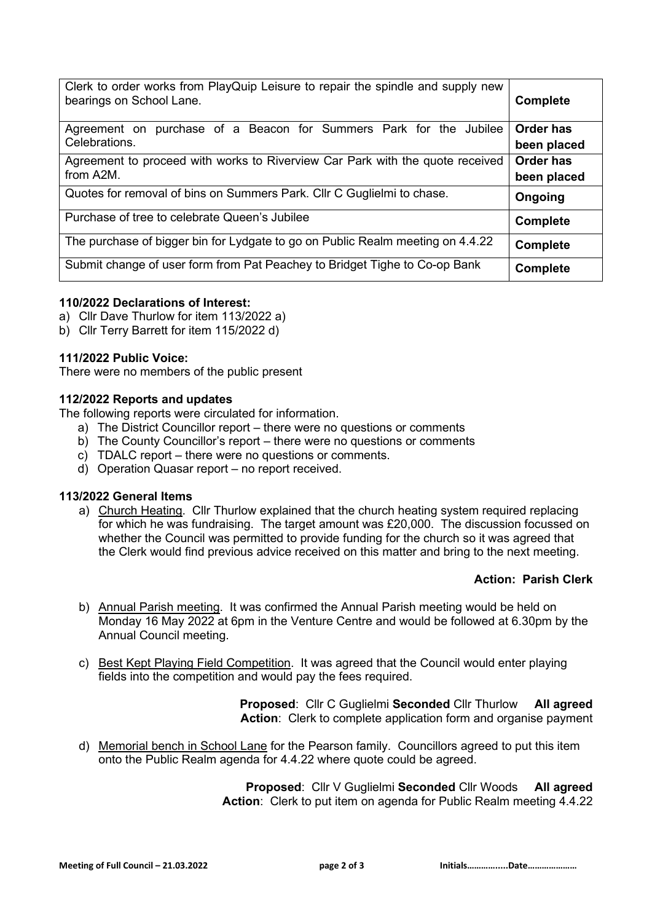| Clerk to order works from PlayQuip Leisure to repair the spindle and supply new<br>bearings on School Lane. | <b>Complete</b>                 |
|-------------------------------------------------------------------------------------------------------------|---------------------------------|
| purchase of a Beacon for Summers Park for the Jubilee<br>Agreement on<br>Celebrations.                      | <b>Order has</b><br>been placed |
| Agreement to proceed with works to Riverview Car Park with the quote received<br>from A2M.                  | <b>Order has</b><br>been placed |
| Quotes for removal of bins on Summers Park. Cllr C Guglielmi to chase.                                      | Ongoing                         |
| Purchase of tree to celebrate Queen's Jubilee                                                               | <b>Complete</b>                 |
| The purchase of bigger bin for Lydgate to go on Public Realm meeting on 4.4.22                              | <b>Complete</b>                 |
| Submit change of user form from Pat Peachey to Bridget Tighe to Co-op Bank                                  | <b>Complete</b>                 |

### **110/2022 Declarations of Interest:**

- a) Cllr Dave Thurlow for item 113/2022 a)
- b) Cllr Terry Barrett for item 115/2022 d)

#### **111/2022 Public Voice:**

There were no members of the public present

#### **112/2022 Reports and updates**

The following reports were circulated for information.

- a) The District Councillor report there were no questions or comments
- b) The County Councillor's report there were no questions or comments
- c) TDALC report there were no questions or comments.
- d) Operation Quasar report *–* no report received.

### **113/2022 General Items**

a) Church Heating. Cllr Thurlow explained that the church heating system required replacing for which he was fundraising. The target amount was £20,000. The discussion focussed on whether the Council was permitted to provide funding for the church so it was agreed that the Clerk would find previous advice received on this matter and bring to the next meeting.

### **Action: Parish Clerk**

- b) Annual Parish meeting. It was confirmed the Annual Parish meeting would be held on Monday 16 May 2022 at 6pm in the Venture Centre and would be followed at 6.30pm by the Annual Council meeting.
- c) Best Kept Playing Field Competition. It was agreed that the Council would enter playing fields into the competition and would pay the fees required.

**Proposed**: Cllr C Guglielmi **Seconded** Cllr Thurlow **All agreed Action**: Clerk to complete application form and organise payment

d) Memorial bench in School Lane for the Pearson family. Councillors agreed to put this item onto the Public Realm agenda for 4.4.22 where quote could be agreed.

> **Proposed**: Cllr V Guglielmi **Seconded** Cllr Woods **All agreed Action**: Clerk to put item on agenda for Public Realm meeting 4.4.22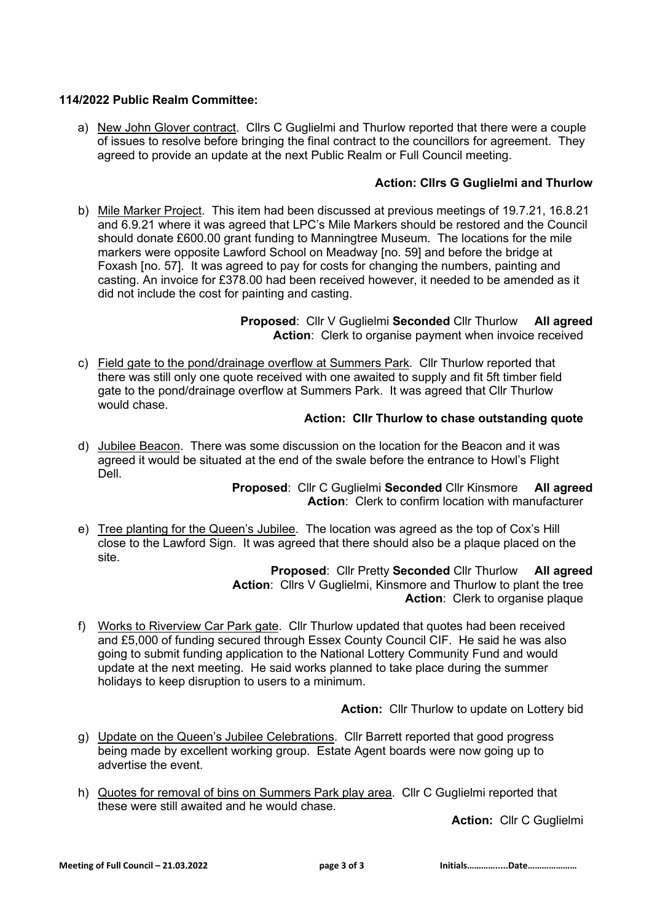# **114/2022 Public Realm Committee:**

a) New John Glover contract. Cllrs C Guglielmi and Thurlow reported that there were a couple of issues to resolve before bringing the final contract to the councillors for agreement. They agreed to provide an update at the next Public Realm or Full Council meeting.

# **Action: Cllrs G Guglielmi and Thurlow**

b) Mile Marker Project. This item had been discussed at previous meetings of 19.7.21, 16.8.21 and 6.9.21 where it was agreed that LPC's Mile Markers should be restored and the Council should donate £600.00 grant funding to Manningtree Museum. The locations for the mile markers were opposite Lawford School on Meadway [no. 59] and before the bridge at Foxash [no. 57]. It was agreed to pay for costs for changing the numbers, painting and casting. An invoice for £378.00 had been received however, it needed to be amended as it did not include the cost for painting and casting.

> **Proposed**: Cllr V Guglielmi **Seconded** Cllr Thurlow **All agreed** Action: Clerk to organise payment when invoice received

c) Field gate to the pond/drainage overflow at Summers Park. Cllr Thurlow reported that there was still only one quote received with one awaited to supply and fit 5ft timber field gate to the pond/drainage overflow at Summers Park. It was agreed that Cllr Thurlow would chase.

### **Action: Cllr Thurlow to chase outstanding quote**

d) Jubilee Beacon. There was some discussion on the location for the Beacon and it was agreed it would be situated at the end of the swale before the entrance to Howl's Flight Dell.

> **Proposed**: Cllr C Guglielmi **Seconded** Cllr Kinsmore **All agreed Action**: Clerk to confirm location with manufacturer

e) Tree planting for the Queen's Jubilee. The location was agreed as the top of Cox's Hill close to the Lawford Sign. It was agreed that there should also be a plaque placed on the site.

> **Proposed**: Cllr Pretty **Seconded** Cllr Thurlow **All agreed Action**: Cllrs V Guglielmi, Kinsmore and Thurlow to plant the tree **Action**: Clerk to organise plaque

f) Works to Riverview Car Park gate. Cllr Thurlow updated that quotes had been received and £5,000 of funding secured through Essex County Council CIF. He said he was also going to submit funding application to the National Lottery Community Fund and would update at the next meeting. He said works planned to take place during the summer holidays to keep disruption to users to a minimum.

**Action:** Cllr Thurlow to update on Lottery bid

- g) Update on the Queen's Jubilee Celebrations. Cllr Barrett reported that good progress being made by excellent working group. Estate Agent boards were now going up to advertise the event.
- h) Quotes for removal of bins on Summers Park play area. Cllr C Guglielmi reported that these were still awaited and he would chase.

**Action:** Cllr C Guglielmi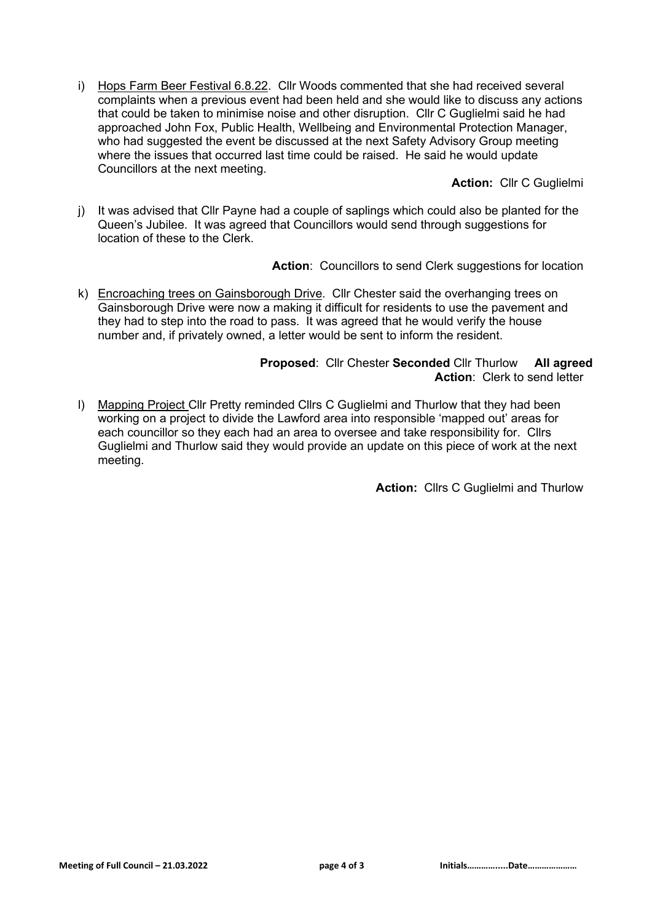i) Hops Farm Beer Festival 6.8.22. Cllr Woods commented that she had received several complaints when a previous event had been held and she would like to discuss any actions that could be taken to minimise noise and other disruption. Cllr C Guglielmi said he had approached John Fox, Public Health, Wellbeing and Environmental Protection Manager, who had suggested the event be discussed at the next Safety Advisory Group meeting where the issues that occurred last time could be raised. He said he would update Councillors at the next meeting.

**Action:** Cllr C Guglielmi

j) It was advised that Cllr Payne had a couple of saplings which could also be planted for the Queen's Jubilee. It was agreed that Councillors would send through suggestions for location of these to the Clerk.

Action: Councillors to send Clerk suggestions for location

k) Encroaching trees on Gainsborough Drive. Cllr Chester said the overhanging trees on Gainsborough Drive were now a making it difficult for residents to use the pavement and they had to step into the road to pass. It was agreed that he would verify the house number and, if privately owned, a letter would be sent to inform the resident.

# **Proposed**: Cllr Chester **Seconded** Cllr Thurlow **All agreed Action**: Clerk to send letter

l) Mapping Project Cllr Pretty reminded Cllrs C Guglielmi and Thurlow that they had been working on a project to divide the Lawford area into responsible 'mapped out' areas for each councillor so they each had an area to oversee and take responsibility for. Cllrs Guglielmi and Thurlow said they would provide an update on this piece of work at the next meeting.

**Action:** Cllrs C Guglielmi and Thurlow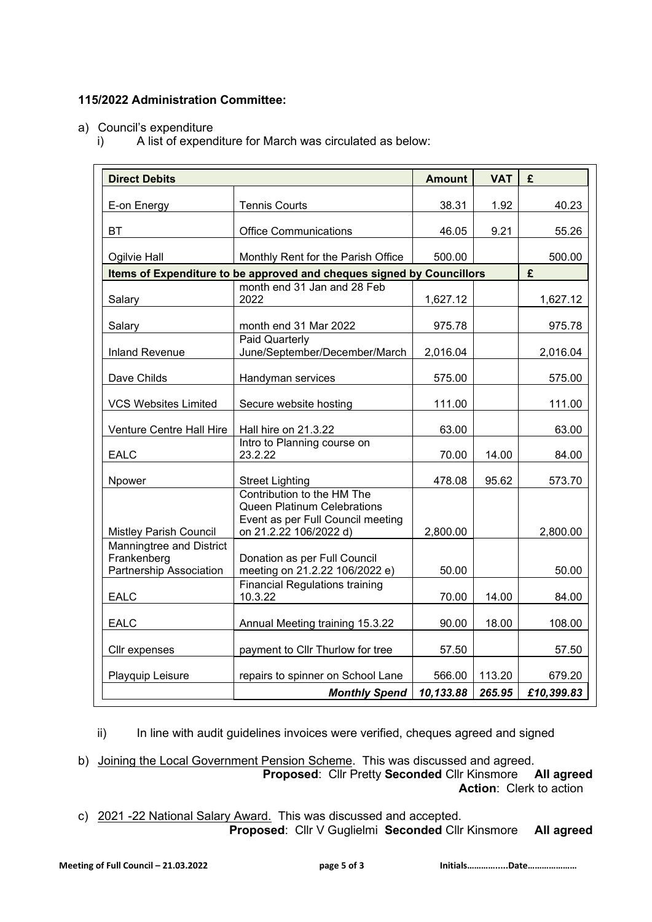# **115/2022 Administration Committee:**

- a) Council's expenditure
	- i) A list of expenditure for March was circulated as below:

| <b>Direct Debits</b>                                               |                                                                                                                                 | <b>Amount</b> | <b>VAT</b> | £          |
|--------------------------------------------------------------------|---------------------------------------------------------------------------------------------------------------------------------|---------------|------------|------------|
| E-on Energy                                                        | <b>Tennis Courts</b>                                                                                                            | 38.31         | 1.92       | 40.23      |
|                                                                    |                                                                                                                                 |               |            |            |
| BT                                                                 | <b>Office Communications</b>                                                                                                    | 46.05         | 9.21       | 55.26      |
| Ogilvie Hall                                                       | Monthly Rent for the Parish Office                                                                                              | 500.00        |            | 500.00     |
|                                                                    | Items of Expenditure to be approved and cheques signed by Councillors                                                           |               |            | £          |
| Salary                                                             | month end 31 Jan and 28 Feb<br>2022                                                                                             | 1,627.12      |            | 1,627.12   |
| Salary                                                             | month end 31 Mar 2022                                                                                                           | 975.78        |            | 975.78     |
| <b>Inland Revenue</b>                                              | <b>Paid Quarterly</b><br>June/September/December/March                                                                          | 2,016.04      |            | 2,016.04   |
| Dave Childs                                                        | Handyman services                                                                                                               | 575.00        |            | 575.00     |
| <b>VCS Websites Limited</b>                                        | Secure website hosting                                                                                                          | 111.00        |            | 111.00     |
| Venture Centre Hall Hire                                           | Hall hire on 21.3.22                                                                                                            | 63.00         |            | 63.00      |
| <b>EALC</b>                                                        | Intro to Planning course on<br>23.2.22                                                                                          | 70.00         | 14.00      | 84.00      |
| Npower                                                             | <b>Street Lighting</b>                                                                                                          | 478.08        | 95.62      | 573.70     |
| <b>Mistley Parish Council</b>                                      | Contribution to the HM The<br><b>Queen Platinum Celebrations</b><br>Event as per Full Council meeting<br>on 21.2.22 106/2022 d) | 2,800.00      |            | 2,800.00   |
| Manningtree and District<br>Frankenberg<br>Partnership Association | Donation as per Full Council<br>meeting on 21.2.22 106/2022 e)                                                                  | 50.00         |            | 50.00      |
| <b>EALC</b>                                                        | <b>Financial Regulations training</b><br>10.3.22                                                                                | 70.00         | 14.00      | 84.00      |
| <b>EALC</b>                                                        | Annual Meeting training 15.3.22                                                                                                 | 90.00         | 18.00      | 108.00     |
| Cllr expenses                                                      | payment to Cllr Thurlow for tree                                                                                                | 57.50         |            | 57.50      |
| Playquip Leisure                                                   | repairs to spinner on School Lane                                                                                               | 566.00        | 113.20     | 679.20     |
|                                                                    | <b>Monthly Spend</b>                                                                                                            | 10,133.88     | 265.95     | £10,399.83 |

ii) In line with audit guidelines invoices were verified, cheques agreed and signed

b) Joining the Local Government Pension Scheme. This was discussed and agreed. **Proposed**: Cllr Pretty **Seconded** Cllr Kinsmore **All agreed Action**: Clerk to action

c) 2021 -22 National Salary Award. This was discussed and accepted. **Proposed**: Cllr V Guglielmi **Seconded** Cllr Kinsmore **All agreed**